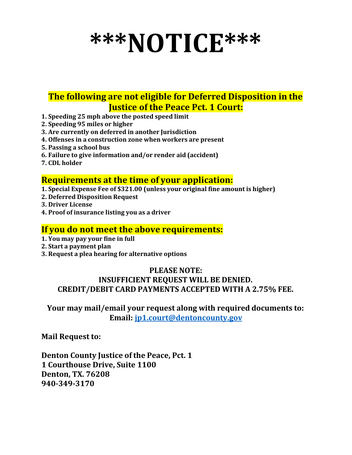# **\*\*\*NOTICE\*\*\***

## **The following are not eligible for Deferred Disposition in the Justice of the Peace Pct. 1 Court:**

- **1. Speeding 25 mph above the posted speed limit**
- **2. Speeding 95 miles or higher**
- **3. Are currently on deferred in another Jurisdiction**
- **4. Offenses in a construction zone when workers are present**
- **5. Passing a school bus**
- **6. Failure to give information and/or render aid (accident)**
- **7. CDL holder**

### **Requirements at the time of your application:**

- **1. Special Expense Fee of \$321.00 (unless your original fine amount is higher)**
- **2. Deferred Disposition Request**
- **3. Driver License**
- **4. Proof of insurance listing you as a driver**

#### **If you do not meet the above requirements:**

- **1. You may pay your fine in full**
- **2. Start a payment plan**
- **3. Request a plea hearing for alternative options**

#### **PLEASE NOTE: INSUFFICIENT REQUEST WILL BE DENIED. CREDIT/DEBIT CARD PAYMENTS ACCEPTED WITH A 2.75% FEE.**

#### **Your may mail/email your request along with required documents to: Email: [jp1.court@dentoncounty.gov](mailto:jp1.court@dentoncounty.gov)**

**Mail Request to:**

**Denton County Justice of the Peace, Pct. 1 1 Courthouse Drive, Suite 1100 Denton, TX. 76208 940-349-3170**